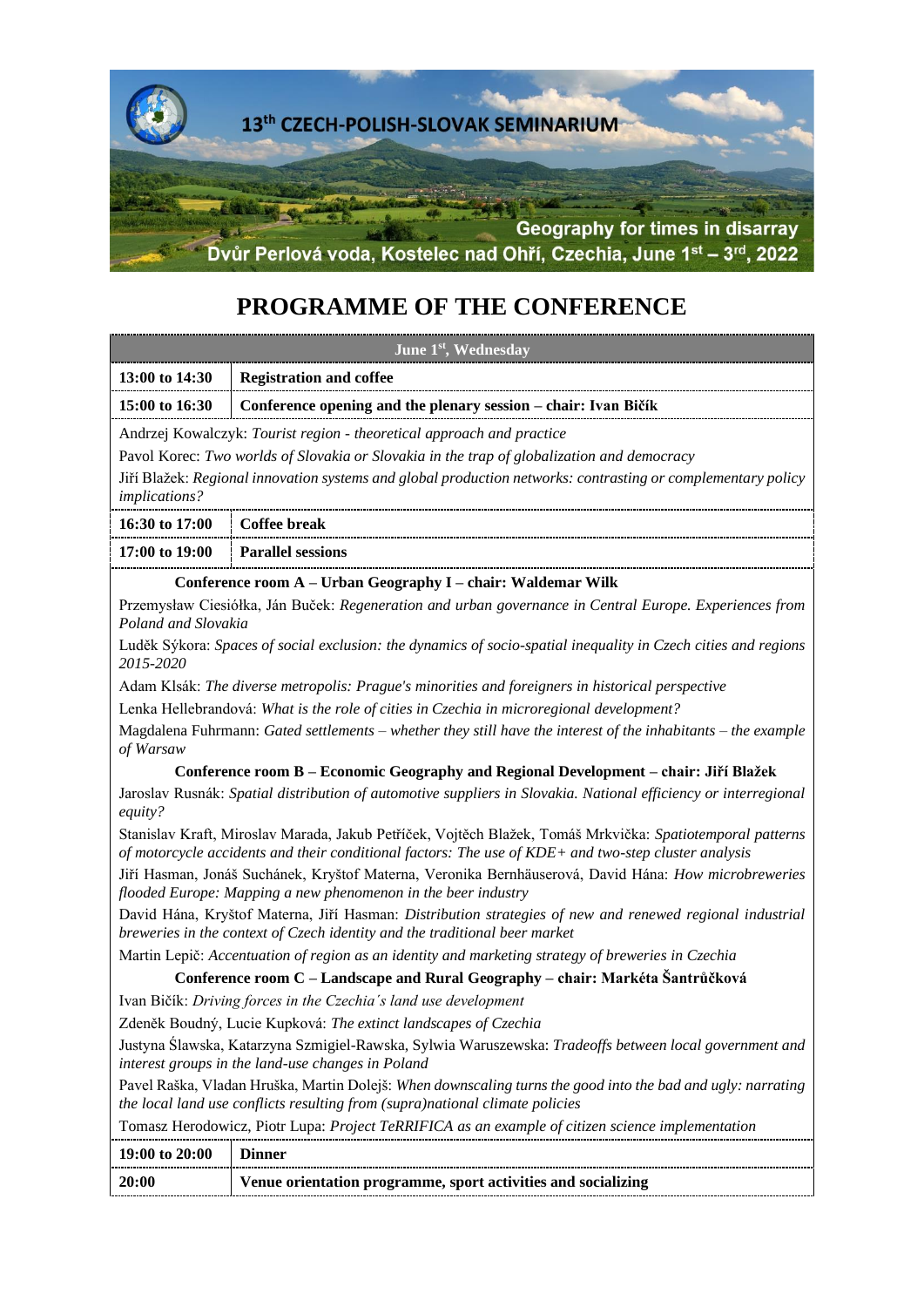

# **PROGRAMME OF THE CONFERENCE**

| June 1 <sup>st</sup> , Wednesday                                                                                                                                                                                                                                                                                                                                                                                         |                                                                |
|--------------------------------------------------------------------------------------------------------------------------------------------------------------------------------------------------------------------------------------------------------------------------------------------------------------------------------------------------------------------------------------------------------------------------|----------------------------------------------------------------|
| 13:00 to 14:30                                                                                                                                                                                                                                                                                                                                                                                                           | <b>Registration and coffee</b>                                 |
| 15:00 to 16:30                                                                                                                                                                                                                                                                                                                                                                                                           | Conference opening and the plenary session – chair: Ivan Bičík |
| Andrzej Kowalczyk: Tourist region - theoretical approach and practice<br>Pavol Korec: Two worlds of Slovakia or Slovakia in the trap of globalization and democracy<br>Jiří Blažek: Regional innovation systems and global production networks: contrasting or complementary policy<br><i>implications?</i>                                                                                                              |                                                                |
| 16:30 to 17:00                                                                                                                                                                                                                                                                                                                                                                                                           | Coffee break                                                   |
| 17:00 to 19:00                                                                                                                                                                                                                                                                                                                                                                                                           | <b>Parallel sessions</b>                                       |
| $C_1, \ldots, C_n, \ldots, C_n, \ldots, C_n, \ldots, C_n, \ldots, C_n, \ldots, C_n, \ldots, C_n, \ldots, C_n, \ldots, C_n, \ldots, C_n, \ldots, C_n, \ldots, C_n, \ldots, C_n, \ldots, C_n, \ldots, C_n, \ldots, C_n, \ldots, C_n, \ldots, C_n, \ldots, C_n, \ldots, C_n, \ldots, C_n, \ldots, C_n, \ldots, C_n, \ldots, C_n, \ldots, C_n, \ldots, C_n, \ldots, C_n, \ldots, C_n, \ldots, C_n, \ldots, C_n, \ldots, C_n$ |                                                                |

**Conference room A – Urban Geography I – chair: Waldemar Wilk**

Przemysław Ciesiółka, Ján Buček: *Regeneration and urban governance in Central Europe. Experiences from Poland and Slovakia*

Luděk Sýkora: *Spaces of social exclusion: the dynamics of socio-spatial inequality in Czech cities and regions 2015-2020*

Adam Klsák: *The diverse metropolis: Prague's minorities and foreigners in historical perspective*

Lenka Hellebrandová: *What is the role of cities in Czechia in microregional development?*

Magdalena Fuhrmann: *Gated settlements – whether they still have the interest of the inhabitants – the example of Warsaw*

#### **Conference room B – Economic Geography and Regional Development – chair: Jiří Blažek**

Jaroslav Rusnák: *Spatial distribution of automotive suppliers in Slovakia. National efficiency or interregional equity?*

Stanislav Kraft, Miroslav Marada, Jakub Petříček, Vojtěch Blažek, Tomáš Mrkvička: *Spatiotemporal patterns of motorcycle accidents and their conditional factors: The use of KDE+ and two-step cluster analysis*

Jiří Hasman, Jonáš Suchánek, Kryštof Materna, Veronika Bernhäuserová, David Hána: *How microbreweries flooded Europe: Mapping a new phenomenon in the beer industry*

David Hána, Kryštof Materna, Jiří Hasman: *Distribution strategies of new and renewed regional industrial breweries in the context of Czech identity and the traditional beer market*

Martin Lepič: *Accentuation of region as an identity and marketing strategy of breweries in Czechia*

**Conference room C – Landscape and Rural Geography – chair: Markéta Šantrůčková**

Ivan Bičík: *Driving forces in the Czechia´s land use development*

Zdeněk Boudný, Lucie Kupková: *The extinct landscapes of Czechia*

Justyna Ślawska, Katarzyna Szmigiel-Rawska, Sylwia Waruszewska: *Tradeoffs between local government and interest groups in the land-use changes in Poland*

Pavel Raška, Vladan Hruška, Martin Dolejš: *When downscaling turns the good into the bad and ugly: narrating the local land use conflicts resulting from (supra)national climate policies*

Tomasz Herodowicz, Piotr Lupa: *Project TeRRIFICA as an example of citizen science implementation*

| 19:00 to 20:00 |                                                               |
|----------------|---------------------------------------------------------------|
| 20:00          | Venue orientation programme, sport activities and socializing |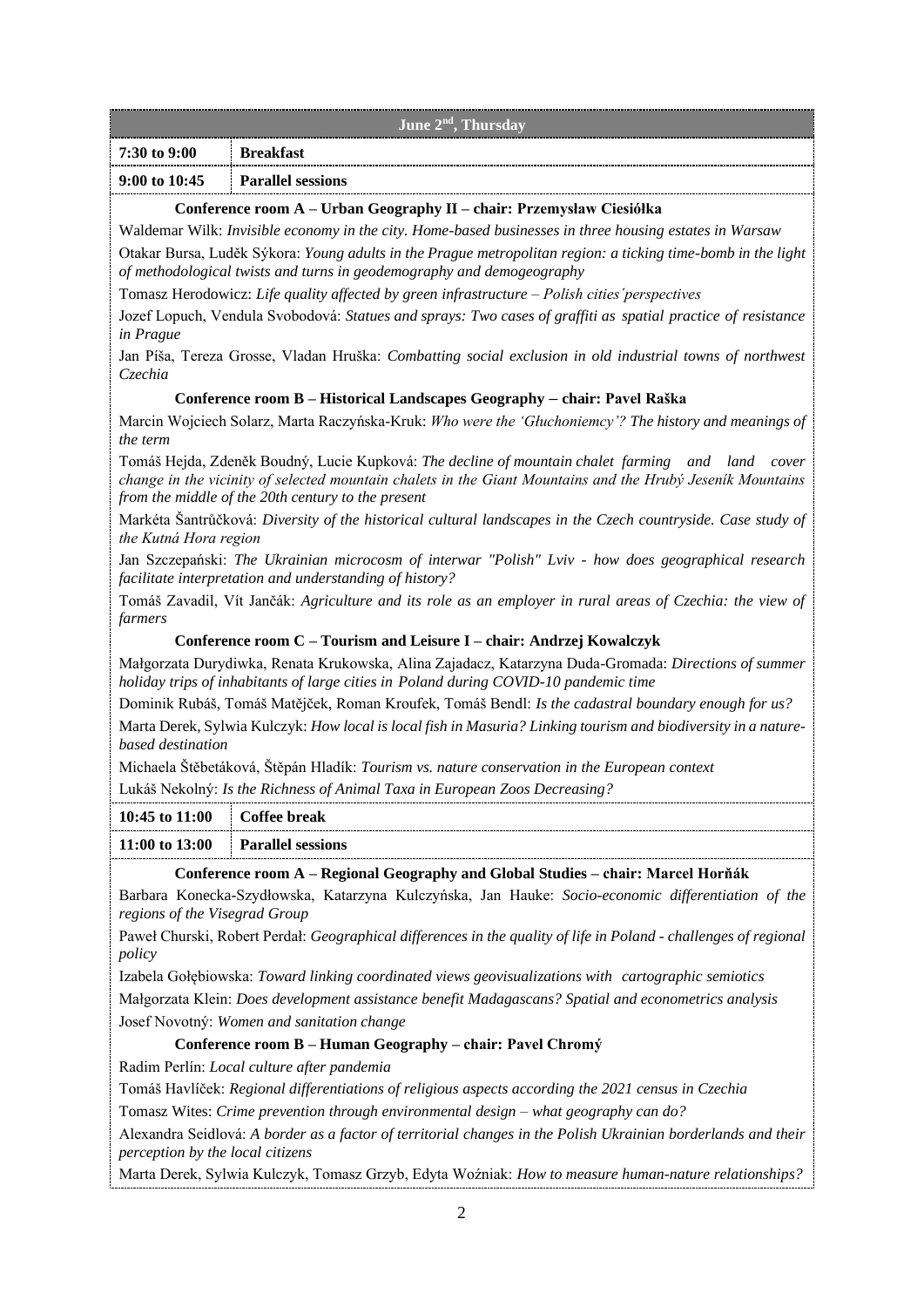| June 2 <sup>nd</sup> , Thursday |                                                                                                                                                                 |
|---------------------------------|-----------------------------------------------------------------------------------------------------------------------------------------------------------------|
| $12:30$ to 9:00                 | Breakfast                                                                                                                                                       |
| $9:00 \text{ to } 10:45$        | <b>Parallel sessions</b>                                                                                                                                        |
| $\sim$<br>$\bullet$             | $\mathbf{r}$ , $\mathbf{r}$ , $\mathbf{r}$ , $\mathbf{r}$ , $\mathbf{r}$ , $\mathbf{r}$ , $\mathbf{r}$ , $\mathbf{r}$<br>$\mathbf{r}$ $\mathbf{r}$ $\mathbf{r}$ |

#### **Conference room A – Urban Geography II – chair: Przemysław Ciesiółka**

Waldemar Wilk: *Invisible economy in the city. Home-based businesses in three housing estates in Warsaw* Otakar Bursa, Luděk Sýkora: *Young adults in the Prague metropolitan region: a ticking time-bomb in the light of methodological twists and turns in geodemography and demogeography*

Tomasz Herodowicz: *Life quality affected by green infrastructure – Polish cities´perspectives*

Jozef Lopuch, Vendula Svobodová: *Statues and sprays: Two cases of graffiti as spatial practice of resistance in Prague*

Jan Píša, Tereza Grosse, Vladan Hruška: *Combatting social exclusion in old industrial towns of northwest Czechia*

# **Conference room B – Historical Landscapes Geography – chair: Pavel Raška**

Marcin Wojciech Solarz, Marta Raczyńska-Kruk: *Who were the 'Głuchoniemcy'? The history and meanings of the term*

Tomáš Hejda, Zdeněk Boudný, Lucie Kupková: *The decline of mountain chalet farming and land cover change in the vicinity of selected mountain chalets in the Giant Mountains and the Hrubý Jeseník Mountains from the middle of the 20th century to the present*

Markéta Šantrůčková: *Diversity of the historical cultural landscapes in the Czech countryside. Case study of the Kutná Hora region*

Jan Szczepański: *The Ukrainian microcosm of interwar "Polish" Lviv - how does geographical research facilitate interpretation and understanding of history?*

Tomáš Zavadil, Vít Jančák: *Agriculture and its role as an employer in rural areas of Czechia: the view of farmers*

# **Conference room C – Tourism and Leisure I – chair: Andrzej Kowalczyk**

Małgorzata Durydiwka, Renata Krukowska, Alina Zajadacz, Katarzyna Duda-Gromada: *Directions of summer holiday trips of inhabitants of large cities in Poland during COVID-10 pandemic time*

Dominik Rubáš, Tomáš Matějček, Roman Kroufek, Tomáš Bendl: *Is the cadastral boundary enough for us?* Marta Derek, Sylwia Kulczyk: *How local is local fish in Masuria? Linking tourism and biodiversity in a naturebased destination*

Michaela Štěbetáková, Štěpán Hladík: *Tourism vs. nature conservation in the European context*

Lukáš Nekolný: *Is the Richness of Animal Taxa in European Zoos Decreasing?*

| 10:45 to 11:00 Coffee break |                                                                                    |  |
|-----------------------------|------------------------------------------------------------------------------------|--|
|                             | $11:00$ to $13:00$ Parallel sessions                                               |  |
| $\sim$ $\sim$               | $\blacksquare$<br>$\mathbf{r}$ $\mathbf{r}$ $\mathbf{r}$ $\mathbf{r}$ $\mathbf{r}$ |  |

**Conference room A – Regional Geography and Global Studies – chair: Marcel Horňák**

Barbara Konecka-Szydłowska, Katarzyna Kulczyńska, Jan Hauke: *Socio-economic differentiation of the regions of the Visegrad Group*

Paweł Churski, Robert Perdał: *Geographical differences in the quality of life in Poland - challenges of regional policy*

Izabela Gołębiowska: *Toward linking coordinated views geovisualizations with cartographic semiotics*

Małgorzata Klein: *Does development assistance benefit Madagascans? Spatial and econometrics analysis* Josef Novotný: *Women and sanitation change*

# **Conference room B – Human Geography – chair: Pavel Chromý**

Radim Perlín: *Local culture after pandemia*

Tomáš Havlíček: *Regional differentiations of religious aspects according the 2021 census in Czechia*

Tomasz Wites: *Crime prevention through environmental design – what geography can do?*

Alexandra Seidlová: *A border as a factor of territorial changes in the Polish Ukrainian borderlands and their perception by the local citizens*

Marta Derek, Sylwia Kulczyk, Tomasz Grzyb, Edyta Woźniak: *How to measure human-nature relationships?*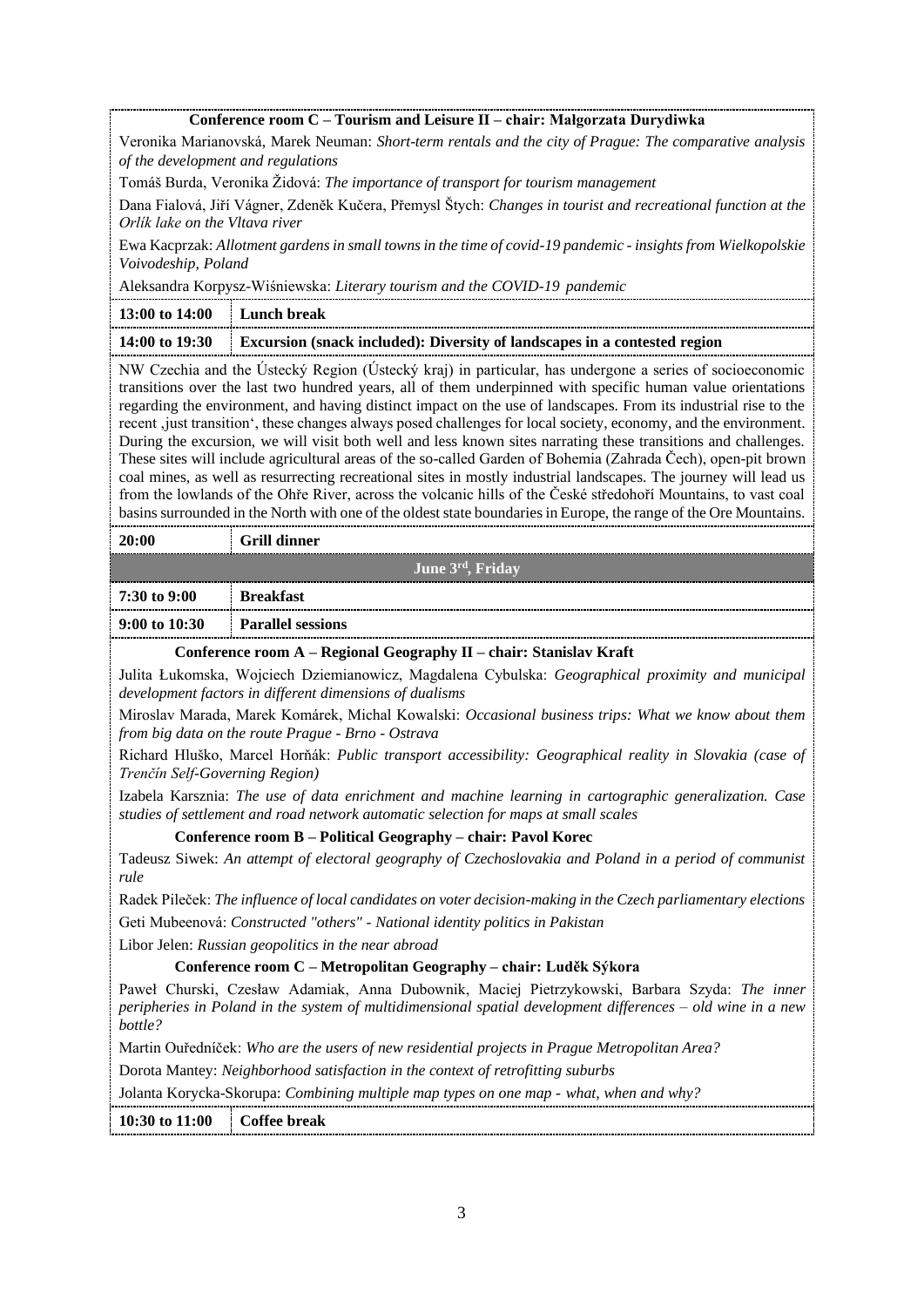#### **Conference room C – Tourism and Leisure II – chair: Małgorzata Durydiwka**

Veronika Marianovská, Marek Neuman: *Short-term rentals and the city of Prague: The comparative analysis of the development and regulations*

Tomáš Burda, Veronika Židová: *The importance of transport for tourism management*

Dana Fialová, Jiří Vágner, Zdeněk Kučera, Přemysl Štych: *Changes in tourist and recreational function at the Orlík lake on the Vltava river*

Ewa Kacprzak: *Allotment gardens in small towns in the time of covid-19 pandemic - insights from Wielkopolskie Voivodeship, Poland*

Aleksandra Korpysz-Wiśniewska: *Literary tourism and the COVID-19 pandemic*

| $13:00$ to $14:00$ Lunch break |                                                                                          |
|--------------------------------|------------------------------------------------------------------------------------------|
|                                | 14:00 to 19:30 Excursion (snack included): Diversity of landscapes in a contested region |

NW Czechia and the Ústecký Region (Ústecký kraj) in particular, has undergone a series of socioeconomic transitions over the last two hundred years, all of them underpinned with specific human value orientations regarding the environment, and having distinct impact on the use of landscapes. From its industrial rise to the recent , just transition', these changes always posed challenges for local society, economy, and the environment. During the excursion, we will visit both well and less known sites narrating these transitions and challenges. These sites will include agricultural areas of the so-called Garden of Bohemia (Zahrada Čech), open-pit brown coal mines, as well as resurrecting recreational sites in mostly industrial landscapes. The journey will lead us from the lowlands of the Ohře River, across the volcanic hills of the České středohoří Mountains, to vast coal basins surrounded in the North with one of the oldest state boundaries in Europe, the range of the Ore Mountains.

| -20:00           | <b>Grill dinner</b>      |
|------------------|--------------------------|
| June 3rd, Friday |                          |
| $7:30$ to 9:00   | <b>Breakfast</b>         |
| 9:00 to $10:30$  | <b>Parallel sessions</b> |
| ____             |                          |

**Conference room A – Regional Geography II – chair: Stanislav Kraft**

Julita Łukomska, Wojciech Dziemianowicz, Magdalena Cybulska: *Geographical proximity and municipal development factors in different dimensions of dualisms*

Miroslav Marada, Marek Komárek, Michal Kowalski: *Occasional business trips: What we know about them from big data on the route Prague - Brno - Ostrava*

Richard Hluško, Marcel Horňák: *Public transport accessibility: Geographical reality in Slovakia (case of Trenčín Self-Governing Region)*

Izabela Karsznia: *The use of data enrichment and machine learning in cartographic generalization. Case studies of settlement and road network automatic selection for maps at small scales*

#### **Conference room B – Political Geography – chair: Pavol Korec**

Tadeusz Siwek: *An attempt of electoral geography of Czechoslovakia and Poland in a period of communist rule*

Radek Pileček: *The influence of local candidates on voter decision-making in the Czech parliamentary elections* Geti Mubeenová: *Constructed "others" - National identity politics in Pakistan*

Libor Jelen: *Russian geopolitics in the near abroad*

#### **Conference room C – Metropolitan Geography – chair: Luděk Sýkora**

Paweł Churski, Czesław Adamiak, Anna Dubownik, Maciej Pietrzykowski, Barbara Szyda: *The inner peripheries in Poland in the system of multidimensional spatial development differences – old wine in a new bottle?*

Martin Ouředníček: *Who are the users of new residential projects in Prague Metropolitan Area?*

Dorota Mantey: *Neighborhood satisfaction in the context of retrofitting suburbs*

Jolanta Korycka-Skorupa: *Combining multiple map types on one map - what, when and why?*

**10:30 to 11:00 Coffee break**